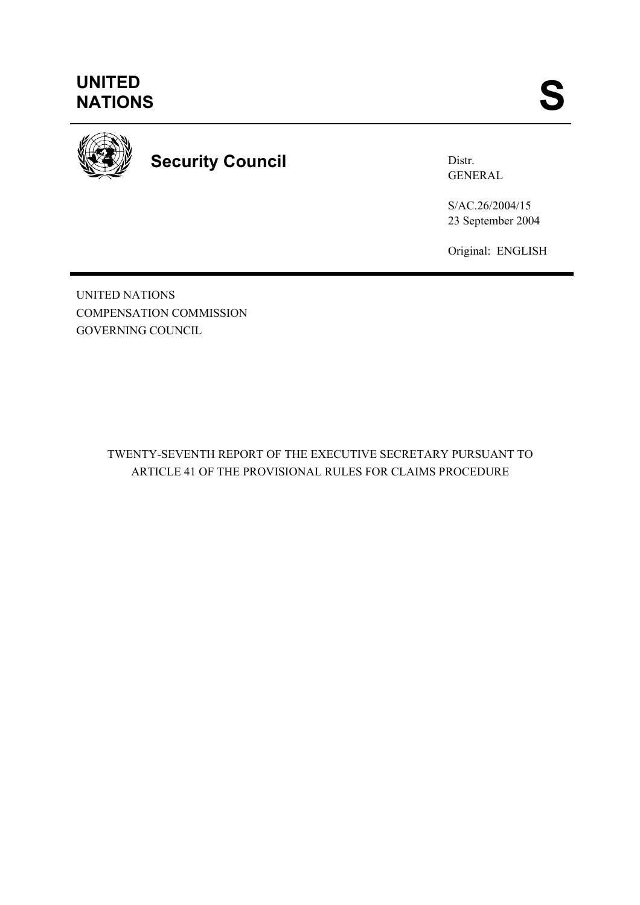

**Security Council** 

Distr. GENERAL

S/AC.26/2004/15 23 September 2004

Original: ENGLISH

UNITED NATIONS COMPENSATION COMMISSION GOVERNING COUNCIL

> TWENTY-SEVENTH REPORT OF THE EXECUTIVE SECRETARY PURSUANT TO ARTICLE 41 OF THE PROVISIONAL RULES FOR CLAIMS PROCEDURE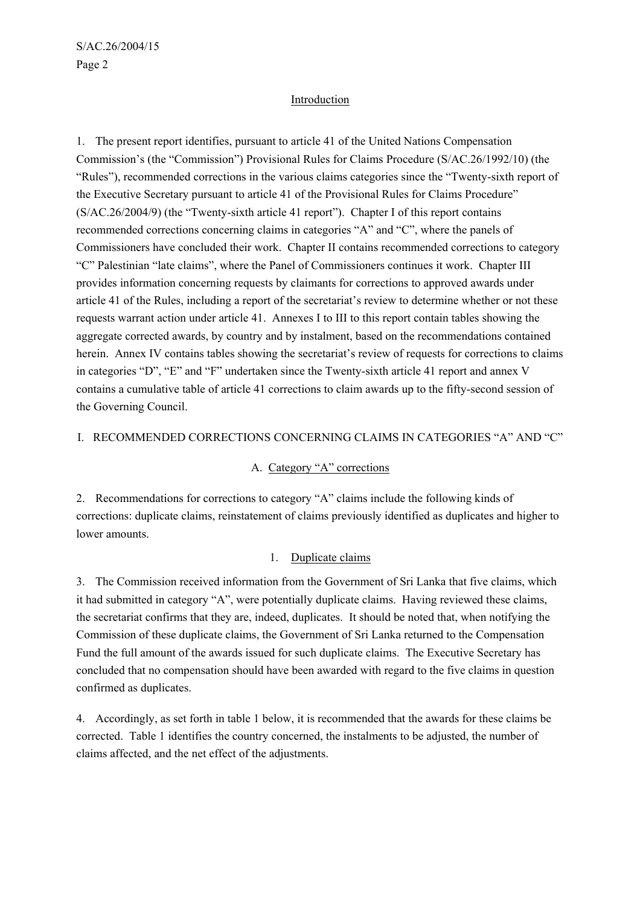#### **Introduction**

1. The present report identifies, pursuant to article 41 of the United Nations Compensation Commission's (the "Commission") Provisional Rules for Claims Procedure (S/AC.26/1992/10) (the "Rules"), recommended corrections in the various claims categories since the "Twenty-sixth report of the Executive Secretary pursuant to article 41 of the Provisional Rules for Claims Procedure" (S/AC.26/2004/9) (the "Twenty-sixth article 41 report"). Chapter I of this report contains recommended corrections concerning claims in categories "A" and "C", where the panels of Commissioners have concluded their work. Chapter II contains recommended corrections to category "C" Palestinian "late claims", where the Panel of Commissioners continues it work. Chapter III provides information concerning requests by claimants for corrections to approved awards under article 41 of the Rules, including a report of the secretariat's review to determine whether or not these requests warrant action under article 41. Annexes I to III to this report contain tables showing the aggregate corrected awards, by country and by instalment, based on the recommendations contained herein. Annex IV contains tables showing the secretariat's review of requests for corrections to claims in categories "D", "E" and "F" undertaken since the Twenty-sixth article 41 report and annex V contains a cumulative table of article 41 corrections to claim awards up to the fifty-second session of the Governing Council.

#### I. RECOMMENDED CORRECTIONS CONCERNING CLAIMS IN CATEGORIES "A" AND "C"

#### A. Category "A" corrections

2. Recommendations for corrections to category "A" claims include the following kinds of corrections: duplicate claims, reinstatement of claims previously identified as duplicates and higher to lower amounts.

#### 1. Duplicate claims

3. The Commission received information from the Government of Sri Lanka that five claims, which it had submitted in category "A", were potentially duplicate claims. Having reviewed these claims, the secretariat confirms that they are, indeed, duplicates. It should be noted that, when notifying the Commission of these duplicate claims, the Government of Sri Lanka returned to the Compensation Fund the full amount of the awards issued for such duplicate claims. The Executive Secretary has concluded that no compensation should have been awarded with regard to the five claims in question confirmed as duplicates.

4. Accordingly, as set forth in table 1 below, it is recommended that the awards for these claims be corrected. Table 1 identifies the country concerned, the instalments to be adjusted, the number of claims affected, and the net effect of the adjustments.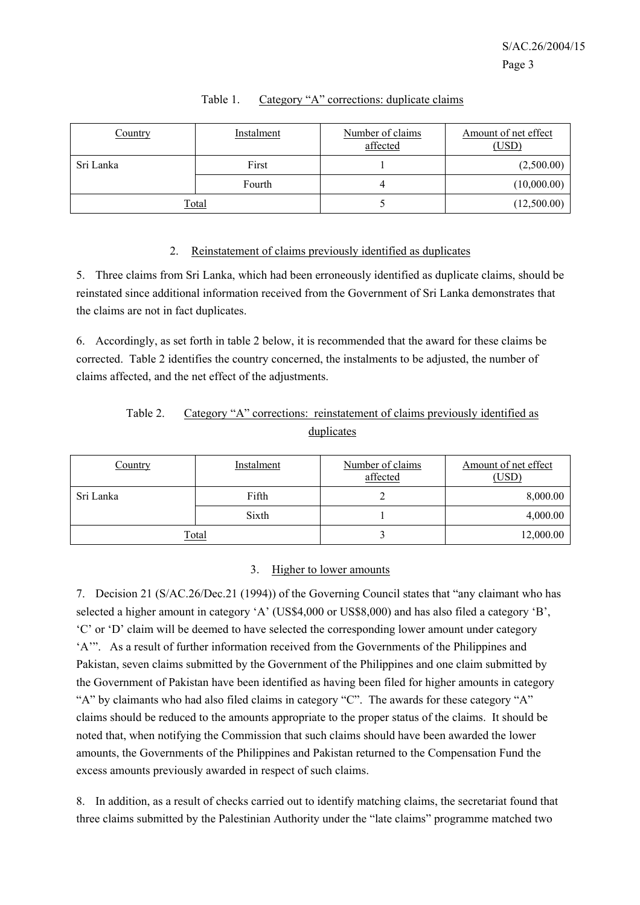| Country   | Instalment   | Number of claims<br>affected | Amount of net effect<br>(USD) |
|-----------|--------------|------------------------------|-------------------------------|
| Sri Lanka | First        |                              | (2,500.00)                    |
|           | Fourth       | 4                            | (10,000.00)                   |
|           | <b>Total</b> |                              | (12,500.00)                   |

### Table 1. Category "A" corrections: duplicate claims

#### 2. Reinstatement of claims previously identified as duplicates

5. Three claims from Sri Lanka, which had been erroneously identified as duplicate claims, should be reinstated since additional information received from the Government of Sri Lanka demonstrates that the claims are not in fact duplicates.

6. Accordingly, as set forth in table 2 below, it is recommended that the award for these claims be corrected. Table 2 identifies the country concerned, the instalments to be adjusted, the number of claims affected, and the net effect of the adjustments.

# Table 2. Category "A" corrections: reinstatement of claims previously identified as duplicates

| Country   | Instalment   | Number of claims<br>affected | Amount of net effect<br>(USD) |
|-----------|--------------|------------------------------|-------------------------------|
| Sri Lanka | Fifth        | ∼                            | 8,000.00                      |
|           | Sixth        |                              | 4,000.00                      |
|           | <b>Total</b> |                              | 12,000.00                     |

#### 3. Higher to lower amounts

7. Decision 21 (S/AC.26/Dec.21 (1994)) of the Governing Council states that "any claimant who has selected a higher amount in category 'A' (US\$4,000 or US\$8,000) and has also filed a category 'B', 'C' or 'D' claim will be deemed to have selected the corresponding lower amount under category 'A'". As a result of further information received from the Governments of the Philippines and Pakistan, seven claims submitted by the Government of the Philippines and one claim submitted by the Government of Pakistan have been identified as having been filed for higher amounts in category "A" by claimants who had also filed claims in category "C". The awards for these category "A" claims should be reduced to the amounts appropriate to the proper status of the claims. It should be noted that, when notifying the Commission that such claims should have been awarded the lower amounts, the Governments of the Philippines and Pakistan returned to the Compensation Fund the excess amounts previously awarded in respect of such claims.

8. In addition, as a result of checks carried out to identify matching claims, the secretariat found that three claims submitted by the Palestinian Authority under the "late claims" programme matched two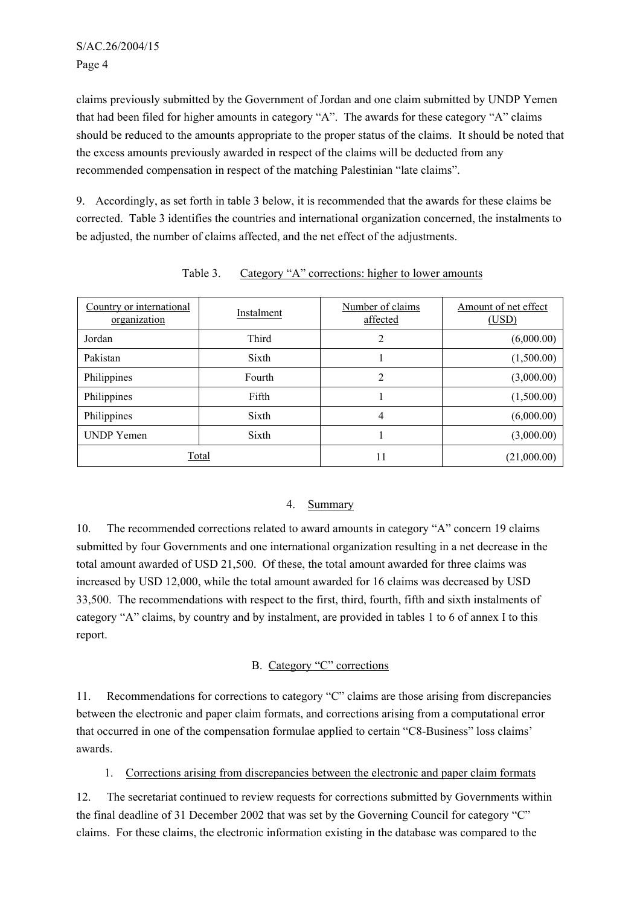claims previously submitted by the Government of Jordan and one claim submitted by UNDP Yemen that had been filed for higher amounts in category "A". The awards for these category "A" claims should be reduced to the amounts appropriate to the proper status of the claims. It should be noted that the excess amounts previously awarded in respect of the claims will be deducted from any recommended compensation in respect of the matching Palestinian "late claims".

9. Accordingly, as set forth in table 3 below, it is recommended that the awards for these claims be corrected. Table 3 identifies the countries and international organization concerned, the instalments to be adjusted, the number of claims affected, and the net effect of the adjustments.

| Country or international<br>organization | Instalment | Number of claims<br>affected | Amount of net effect<br>(USD) |
|------------------------------------------|------------|------------------------------|-------------------------------|
| Jordan                                   | Third      | 2                            | (6,000.00)                    |
| Pakistan                                 | Sixth      |                              | (1,500.00)                    |
| Philippines                              | Fourth     | $\overline{2}$               | (3,000.00)                    |
| Philippines                              | Fifth      |                              | (1,500.00)                    |
| Philippines                              | Sixth      | 4                            | (6,000.00)                    |
| <b>UNDP</b> Yemen                        | Sixth      |                              | (3,000.00)                    |
| Total                                    |            | 11                           | (21,000.00)                   |

Table 3. Category "A" corrections: higher to lower amounts

# 4. Summary

10. The recommended corrections related to award amounts in category "A" concern 19 claims submitted by four Governments and one international organization resulting in a net decrease in the total amount awarded of USD 21,500. Of these, the total amount awarded for three claims was increased by USD 12,000, while the total amount awarded for 16 claims was decreased by USD 33,500. The recommendations with respect to the first, third, fourth, fifth and sixth instalments of category "A" claims, by country and by instalment, are provided in tables 1 to 6 of annex I to this report.

# B. Category "C" corrections

11. Recommendations for corrections to category "C" claims are those arising from discrepancies between the electronic and paper claim formats, and corrections arising from a computational error that occurred in one of the compensation formulae applied to certain "C8-Business" loss claims' awards.

1. Corrections arising from discrepancies between the electronic and paper claim formats

12. The secretariat continued to review requests for corrections submitted by Governments within the final deadline of 31 December 2002 that was set by the Governing Council for category "C" claims. For these claims, the electronic information existing in the database was compared to the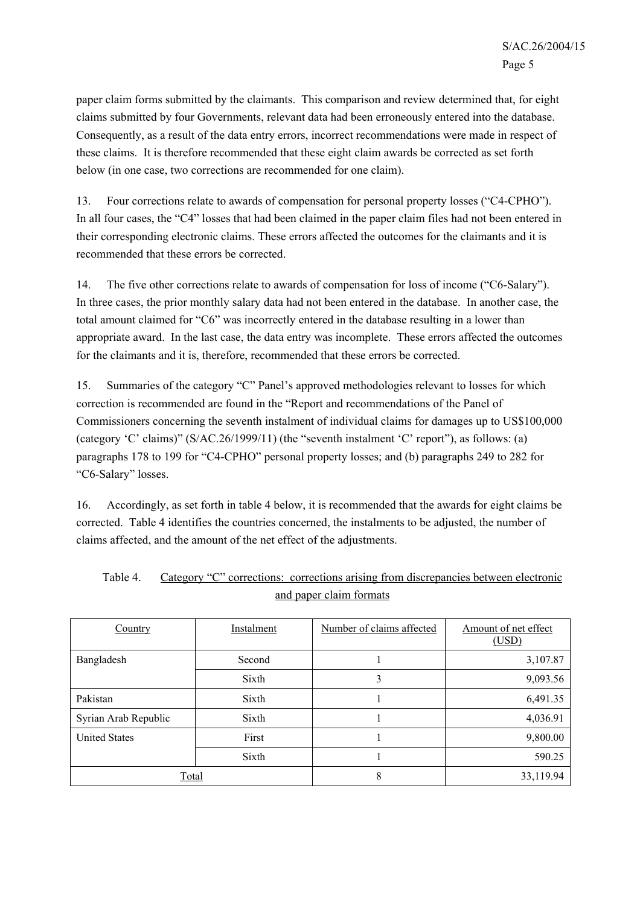paper claim forms submitted by the claimants. This comparison and review determined that, for eight claims submitted by four Governments, relevant data had been erroneously entered into the database. Consequently, as a result of the data entry errors, incorrect recommendations were made in respect of these claims. It is therefore recommended that these eight claim awards be corrected as set forth below (in one case, two corrections are recommended for one claim).

13. Four corrections relate to awards of compensation for personal property losses ("C4-CPHO"). In all four cases, the "C4" losses that had been claimed in the paper claim files had not been entered in their corresponding electronic claims. These errors affected the outcomes for the claimants and it is recommended that these errors be corrected.

14. The five other corrections relate to awards of compensation for loss of income ("C6-Salary"). In three cases, the prior monthly salary data had not been entered in the database. In another case, the total amount claimed for "C6" was incorrectly entered in the database resulting in a lower than appropriate award. In the last case, the data entry was incomplete. These errors affected the outcomes for the claimants and it is, therefore, recommended that these errors be corrected.

15. Summaries of the category "C" Panel's approved methodologies relevant to losses for which correction is recommended are found in the "Report and recommendations of the Panel of Commissioners concerning the seventh instalment of individual claims for damages up to US\$100,000 (category 'C' claims)" (S/AC.26/1999/11) (the "seventh instalment 'C' report"), as follows: (a) paragraphs 178 to 199 for "C4-CPHO" personal property losses; and (b) paragraphs 249 to 282 for "C6-Salary" losses.

16. Accordingly, as set forth in table 4 below, it is recommended that the awards for eight claims be corrected. Table 4 identifies the countries concerned, the instalments to be adjusted, the number of claims affected, and the amount of the net effect of the adjustments.

| Country              | Instalment | Number of claims affected | Amount of net effect<br>(USD) |
|----------------------|------------|---------------------------|-------------------------------|
| Bangladesh           | Second     |                           | 3,107.87                      |
|                      | Sixth      | 3                         | 9,093.56                      |
| Pakistan             | Sixth      |                           | 6,491.35                      |
| Syrian Arab Republic | Sixth      |                           | 4,036.91                      |
| <b>United States</b> | First      |                           | 9,800.00                      |
|                      | Sixth      |                           | 590.25                        |
| <b>Total</b>         |            | 8                         | 33,119.94                     |

| Table 4. | Category "C" corrections: corrections arising from discrepancies between electronic |
|----------|-------------------------------------------------------------------------------------|
|          | and paper claim formats                                                             |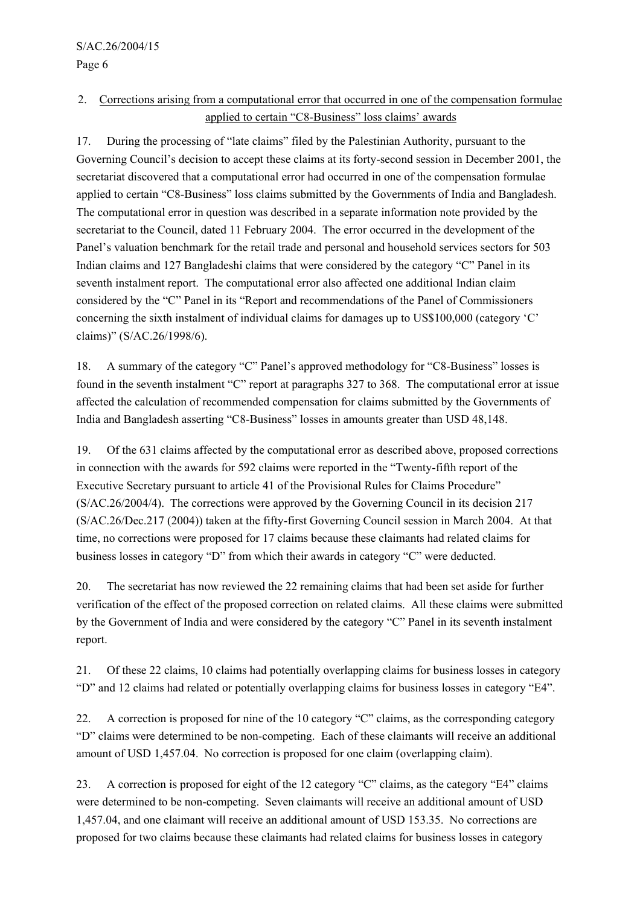Page 6

# 2. Corrections arising from a computational error that occurred in one of the compensation formulae applied to certain "C8-Business" loss claims' awards

17. During the processing of "late claims" filed by the Palestinian Authority, pursuant to the Governing Council's decision to accept these claims at its forty-second session in December 2001, the secretariat discovered that a computational error had occurred in one of the compensation formulae applied to certain "C8-Business" loss claims submitted by the Governments of India and Bangladesh. The computational error in question was described in a separate information note provided by the secretariat to the Council, dated 11 February 2004. The error occurred in the development of the Panel's valuation benchmark for the retail trade and personal and household services sectors for 503 Indian claims and 127 Bangladeshi claims that were considered by the category "C" Panel in its seventh instalment report. The computational error also affected one additional Indian claim considered by the "C" Panel in its "Report and recommendations of the Panel of Commissioners concerning the sixth instalment of individual claims for damages up to US\$100,000 (category 'C' claims)" (S/AC.26/1998/6).

18. A summary of the category "C" Panel's approved methodology for "C8-Business" losses is found in the seventh instalment "C" report at paragraphs 327 to 368. The computational error at issue affected the calculation of recommended compensation for claims submitted by the Governments of India and Bangladesh asserting "C8-Business" losses in amounts greater than USD 48,148.

19. Of the 631 claims affected by the computational error as described above, proposed corrections in connection with the awards for 592 claims were reported in the "Twenty-fifth report of the Executive Secretary pursuant to article 41 of the Provisional Rules for Claims Procedure" (S/AC.26/2004/4). The corrections were approved by the Governing Council in its decision 217 (S/AC.26/Dec.217 (2004)) taken at the fifty-first Governing Council session in March 2004. At that time, no corrections were proposed for 17 claims because these claimants had related claims for business losses in category "D" from which their awards in category "C" were deducted.

20. The secretariat has now reviewed the 22 remaining claims that had been set aside for further verification of the effect of the proposed correction on related claims. All these claims were submitted by the Government of India and were considered by the category "C" Panel in its seventh instalment report.

21. Of these 22 claims, 10 claims had potentially overlapping claims for business losses in category "D" and 12 claims had related or potentially overlapping claims for business losses in category "E4".

22. A correction is proposed for nine of the 10 category "C" claims, as the corresponding category "D" claims were determined to be non-competing. Each of these claimants will receive an additional amount of USD 1,457.04. No correction is proposed for one claim (overlapping claim).

23. A correction is proposed for eight of the 12 category "C" claims, as the category "E4" claims were determined to be non-competing. Seven claimants will receive an additional amount of USD 1,457.04, and one claimant will receive an additional amount of USD 153.35. No corrections are proposed for two claims because these claimants had related claims for business losses in category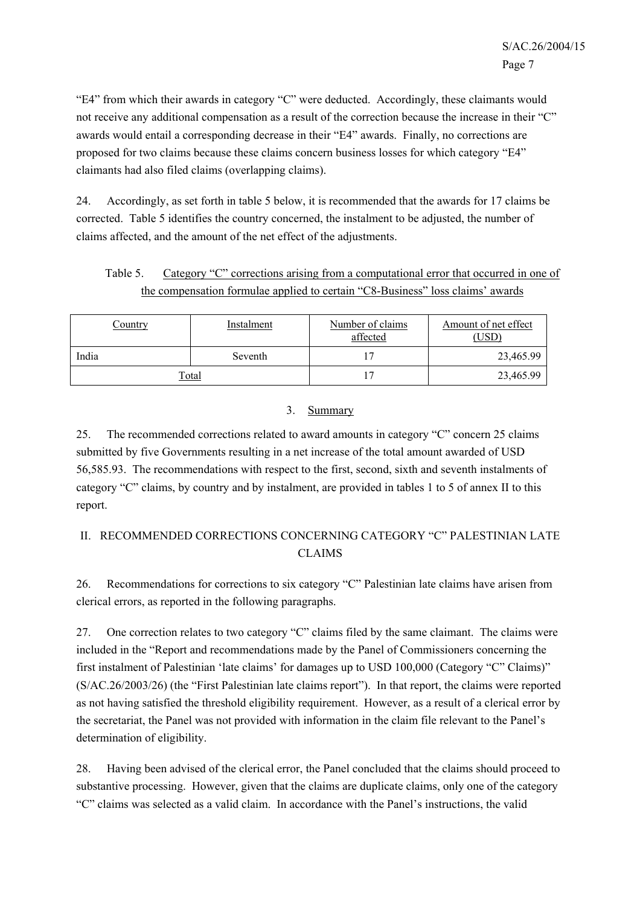"E4" from which their awards in category "C" were deducted. Accordingly, these claimants would not receive any additional compensation as a result of the correction because the increase in their "C" awards would entail a corresponding decrease in their "E4" awards. Finally, no corrections are proposed for two claims because these claims concern business losses for which category "E4" claimants had also filed claims (overlapping claims).

24. Accordingly, as set forth in table 5 below, it is recommended that the awards for 17 claims be corrected. Table 5 identifies the country concerned, the instalment to be adjusted, the number of claims affected, and the amount of the net effect of the adjustments.

Table 5. Category "C" corrections arising from a computational error that occurred in one of the compensation formulae applied to certain "C8-Business" loss claims' awards

| Country      | Instalment | Number of claims<br>affected | Amount of net effect<br>(USD) |
|--------------|------------|------------------------------|-------------------------------|
| India        | Seventh    |                              | 23,465.99                     |
| <u>Total</u> |            |                              | 23,465.99                     |

### 3. Summary

25. The recommended corrections related to award amounts in category "C" concern 25 claims submitted by five Governments resulting in a net increase of the total amount awarded of USD 56,585.93. The recommendations with respect to the first, second, sixth and seventh instalments of category "C" claims, by country and by instalment, are provided in tables 1 to 5 of annex II to this report.

# II. RECOMMENDED CORRECTIONS CONCERNING CATEGORY "C" PALESTINIAN LATE CLAIMS

26. Recommendations for corrections to six category "C" Palestinian late claims have arisen from clerical errors, as reported in the following paragraphs.

27. One correction relates to two category "C" claims filed by the same claimant. The claims were included in the "Report and recommendations made by the Panel of Commissioners concerning the first instalment of Palestinian 'late claims' for damages up to USD 100,000 (Category "C" Claims)" (S/AC.26/2003/26) (the "First Palestinian late claims report"). In that report, the claims were reported as not having satisfied the threshold eligibility requirement. However, as a result of a clerical error by the secretariat, the Panel was not provided with information in the claim file relevant to the Panel's determination of eligibility.

28. Having been advised of the clerical error, the Panel concluded that the claims should proceed to substantive processing. However, given that the claims are duplicate claims, only one of the category "C" claims was selected as a valid claim. In accordance with the Panel's instructions, the valid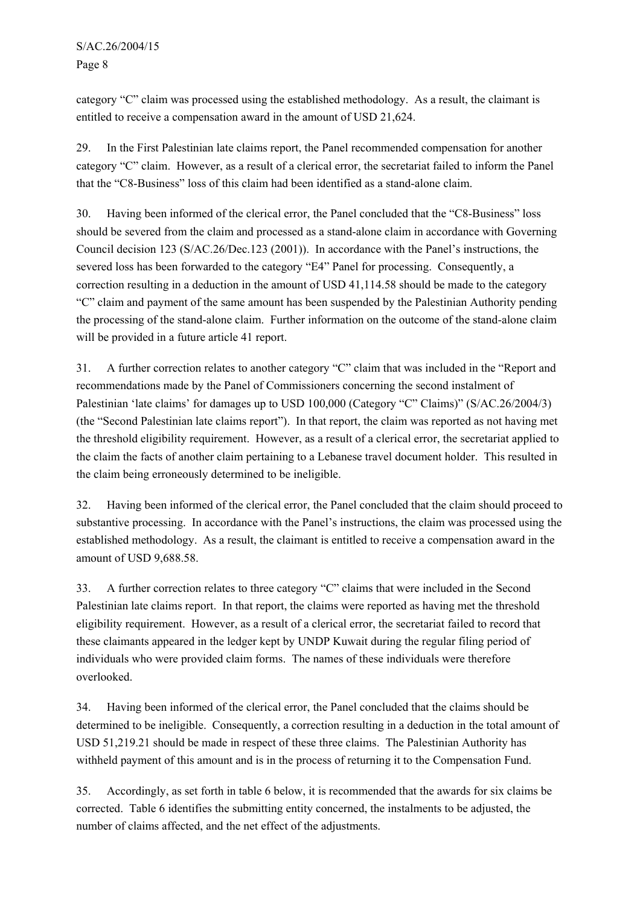S/AC.26/2004/15 Page 8

category "C" claim was processed using the established methodology. As a result, the claimant is entitled to receive a compensation award in the amount of USD 21,624.

29. In the First Palestinian late claims report, the Panel recommended compensation for another category "C" claim. However, as a result of a clerical error, the secretariat failed to inform the Panel that the "C8-Business" loss of this claim had been identified as a stand-alone claim.

30. Having been informed of the clerical error, the Panel concluded that the "C8-Business" loss should be severed from the claim and processed as a stand-alone claim in accordance with Governing Council decision 123 (S/AC.26/Dec.123 (2001)). In accordance with the Panel's instructions, the severed loss has been forwarded to the category "E4" Panel for processing. Consequently, a correction resulting in a deduction in the amount of USD 41,114.58 should be made to the category "C" claim and payment of the same amount has been suspended by the Palestinian Authority pending the processing of the stand-alone claim. Further information on the outcome of the stand-alone claim will be provided in a future article 41 report.

31. A further correction relates to another category "C" claim that was included in the "Report and recommendations made by the Panel of Commissioners concerning the second instalment of Palestinian 'late claims' for damages up to USD 100,000 (Category "C" Claims)" (S/AC.26/2004/3) (the "Second Palestinian late claims report"). In that report, the claim was reported as not having met the threshold eligibility requirement. However, as a result of a clerical error, the secretariat applied to the claim the facts of another claim pertaining to a Lebanese travel document holder. This resulted in the claim being erroneously determined to be ineligible.

32. Having been informed of the clerical error, the Panel concluded that the claim should proceed to substantive processing. In accordance with the Panel's instructions, the claim was processed using the established methodology. As a result, the claimant is entitled to receive a compensation award in the amount of USD 9,688.58.

33. A further correction relates to three category "C" claims that were included in the Second Palestinian late claims report. In that report, the claims were reported as having met the threshold eligibility requirement. However, as a result of a clerical error, the secretariat failed to record that these claimants appeared in the ledger kept by UNDP Kuwait during the regular filing period of individuals who were provided claim forms. The names of these individuals were therefore overlooked.

34. Having been informed of the clerical error, the Panel concluded that the claims should be determined to be ineligible. Consequently, a correction resulting in a deduction in the total amount of USD 51,219.21 should be made in respect of these three claims. The Palestinian Authority has withheld payment of this amount and is in the process of returning it to the Compensation Fund.

35. Accordingly, as set forth in table 6 below, it is recommended that the awards for six claims be corrected. Table 6 identifies the submitting entity concerned, the instalments to be adjusted, the number of claims affected, and the net effect of the adjustments.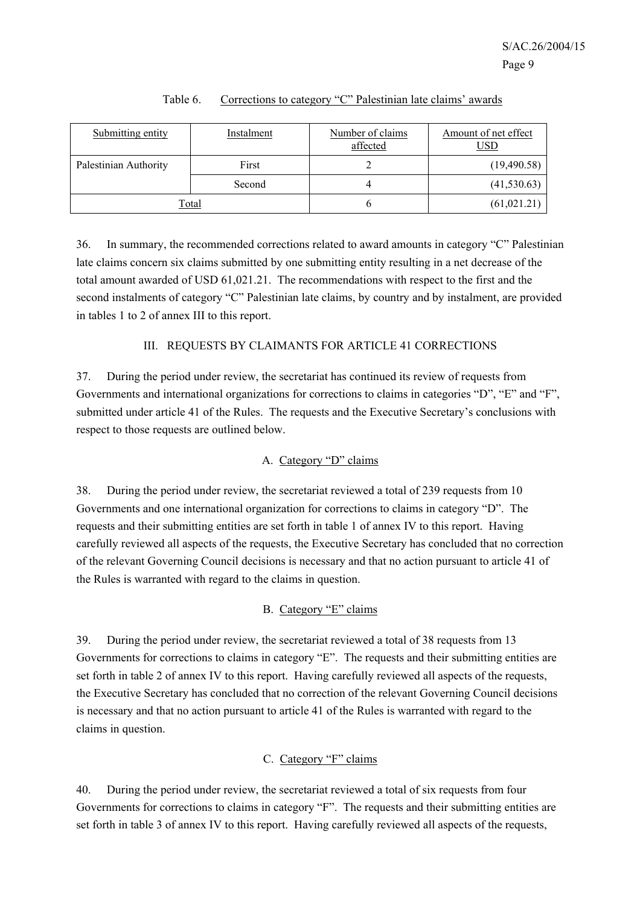| Submitting entity     | Instalment | Number of claims<br>affected | Amount of net effect<br>USD |
|-----------------------|------------|------------------------------|-----------------------------|
| Palestinian Authority | First      |                              | (19, 490.58)                |
|                       | Second     | 4                            | (41, 530.63)                |
|                       | Total      |                              | (61, 021.21)                |

#### Table 6. Corrections to category "C" Palestinian late claims' awards

36. In summary, the recommended corrections related to award amounts in category "C" Palestinian late claims concern six claims submitted by one submitting entity resulting in a net decrease of the total amount awarded of USD 61,021.21. The recommendations with respect to the first and the second instalments of category "C" Palestinian late claims, by country and by instalment, are provided in tables 1 to 2 of annex III to this report.

### III. REQUESTS BY CLAIMANTS FOR ARTICLE 41 CORRECTIONS

37. During the period under review, the secretariat has continued its review of requests from Governments and international organizations for corrections to claims in categories "D", "E" and "F", submitted under article 41 of the Rules. The requests and the Executive Secretary's conclusions with respect to those requests are outlined below.

# A. Category "D" claims

38. During the period under review, the secretariat reviewed a total of 239 requests from 10 Governments and one international organization for corrections to claims in category "D". The requests and their submitting entities are set forth in table 1 of annex IV to this report. Having carefully reviewed all aspects of the requests, the Executive Secretary has concluded that no correction of the relevant Governing Council decisions is necessary and that no action pursuant to article 41 of the Rules is warranted with regard to the claims in question.

# B. Category "E" claims

39. During the period under review, the secretariat reviewed a total of 38 requests from 13 Governments for corrections to claims in category "E". The requests and their submitting entities are set forth in table 2 of annex IV to this report. Having carefully reviewed all aspects of the requests, the Executive Secretary has concluded that no correction of the relevant Governing Council decisions is necessary and that no action pursuant to article 41 of the Rules is warranted with regard to the claims in question.

# C. Category "F" claims

40. During the period under review, the secretariat reviewed a total of six requests from four Governments for corrections to claims in category "F". The requests and their submitting entities are set forth in table 3 of annex IV to this report. Having carefully reviewed all aspects of the requests,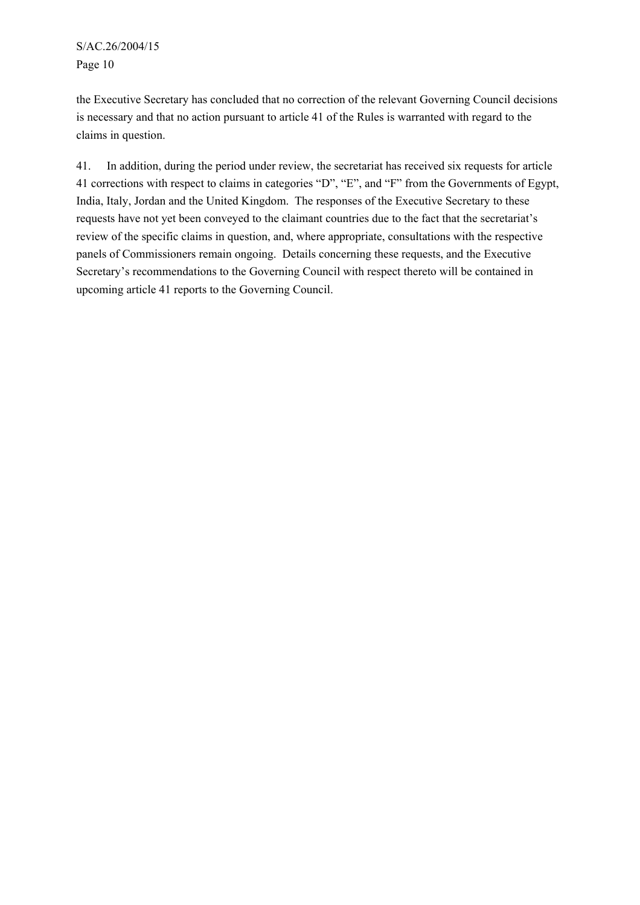S/AC.26/2004/15 Page 10

the Executive Secretary has concluded that no correction of the relevant Governing Council decisions is necessary and that no action pursuant to article 41 of the Rules is warranted with regard to the claims in question.

41. In addition, during the period under review, the secretariat has received six requests for article 41 corrections with respect to claims in categories "D", "E", and "F" from the Governments of Egypt, India, Italy, Jordan and the United Kingdom. The responses of the Executive Secretary to these requests have not yet been conveyed to the claimant countries due to the fact that the secretariat's review of the specific claims in question, and, where appropriate, consultations with the respective panels of Commissioners remain ongoing. Details concerning these requests, and the Executive Secretary's recommendations to the Governing Council with respect thereto will be contained in upcoming article 41 reports to the Governing Council.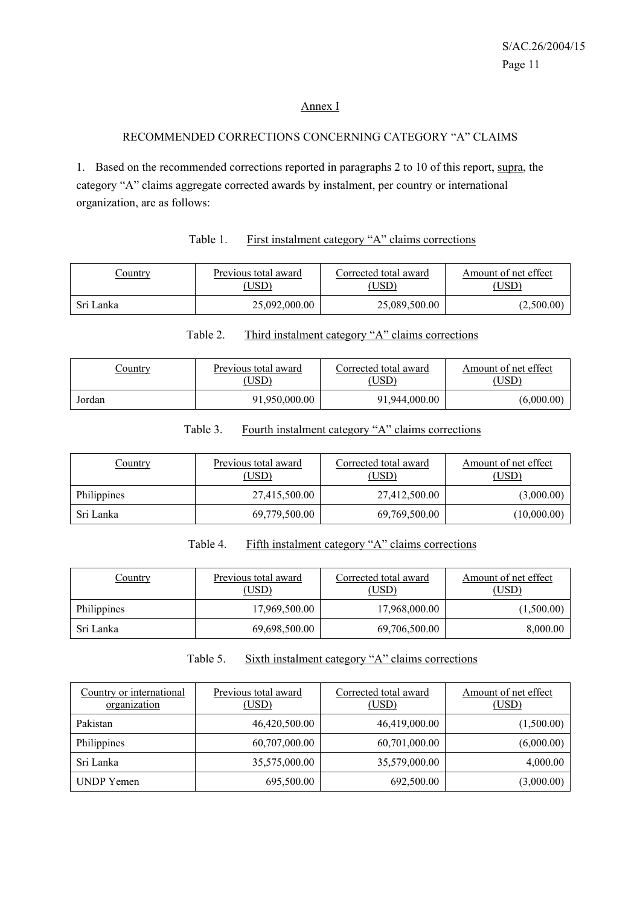#### Annex I

# RECOMMENDED CORRECTIONS CONCERNING CATEGORY "A" CLAIMS

1. Based on the recommended corrections reported in paragraphs 2 to 10 of this report, supra, the category "A" claims aggregate corrected awards by instalment, per country or international organization, are as follows:

#### Table 1. First instalment category "A" claims corrections

| Country   | Previous total award | Corrected total award | Amount of net effect |
|-----------|----------------------|-----------------------|----------------------|
|           | USD)                 | USD)                  | USD)                 |
| Sri Lanka | 25,092,000.00        | 25,089,500.00         | (2,500.00)           |

#### Table 2. Third instalment category "A" claims corrections

| Country | Previous total award | Corrected total award | Amount of net effect |
|---------|----------------------|-----------------------|----------------------|
|         | USD)                 | USD)                  | USD)                 |
| Jordan  | 91.950.000.00        | 91,944,000.00         | (6,000.00)           |

#### Table 3. Fourth instalment category "A" claims corrections

| <u>Country</u> | Previous total award<br>(USD) | Corrected total award<br>(USD) | Amount of net effect<br>(USD) |
|----------------|-------------------------------|--------------------------------|-------------------------------|
| Philippines    | 27,415,500.00                 | 27,412,500.00                  | (3,000.00)                    |
| Sri Lanka      | 69,779,500.00                 | 69,769,500.00                  | (10,000.00)                   |

#### Table 4. Fifth instalment category "A" claims corrections

| Country     | Previous total award<br>(USD) | Corrected total award<br>(USD) | Amount of net effect<br>(USD) |
|-------------|-------------------------------|--------------------------------|-------------------------------|
| Philippines | 17,969,500.00                 | 17,968,000.00                  | (1,500.00)                    |
| Sri Lanka   | 69,698,500.00                 | 69,706,500.00                  | 8,000.00                      |

#### Table 5. Sixth instalment category "A" claims corrections

| Country or international<br>organization | Previous total award<br>(USD) | Corrected total award<br>(USD) | Amount of net effect<br>(USD) |
|------------------------------------------|-------------------------------|--------------------------------|-------------------------------|
| Pakistan                                 | 46,420,500.00                 | 46,419,000.00                  | (1,500.00)                    |
| Philippines                              | 60,707,000.00                 | 60,701,000.00                  | (6,000.00)                    |
| Sri Lanka                                | 35,575,000.00                 | 35,579,000.00                  | 4,000.00                      |
| <b>UNDP</b> Yemen                        | 695,500.00                    | 692,500.00                     | (3,000.00)                    |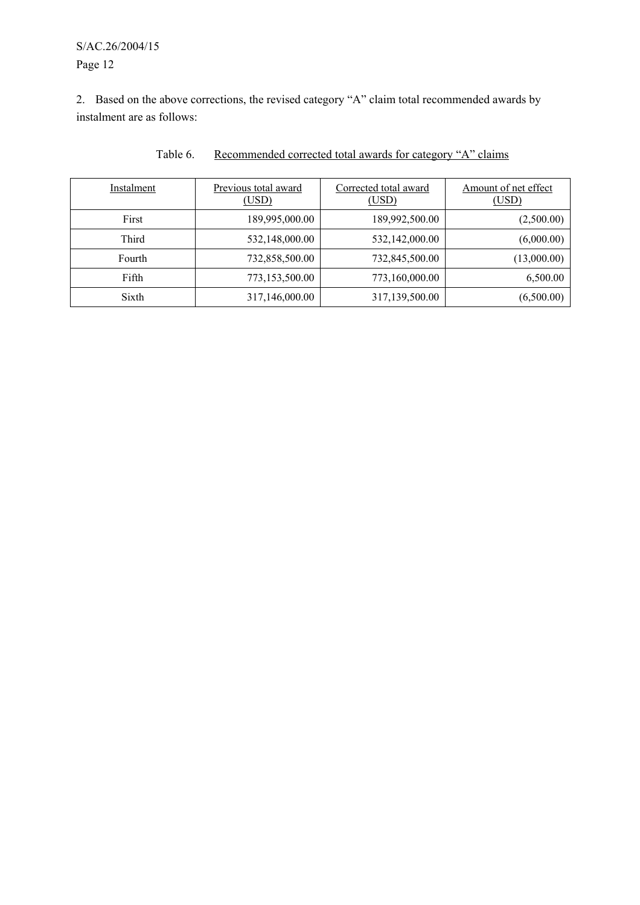# S/AC.26/2004/15 Page 12

2. Based on the above corrections, the revised category "A" claim total recommended awards by instalment are as follows:

| Instalment | Previous total award<br>(USD) | Corrected total award<br>(USD) | Amount of net effect<br>(USD) |
|------------|-------------------------------|--------------------------------|-------------------------------|
| First      | 189,995,000.00                | 189,992,500.00                 | (2,500.00)                    |
| Third      | 532,148,000.00                | 532,142,000.00                 | (6,000.00)                    |
| Fourth     | 732,858,500.00                | 732,845,500.00                 | (13,000.00)                   |
| Fifth      | 773,153,500.00                | 773,160,000.00                 | 6,500.00                      |
| Sixth      | 317,146,000.00                | 317,139,500.00                 | (6,500.00)                    |

# Table 6. Recommended corrected total awards for category "A" claims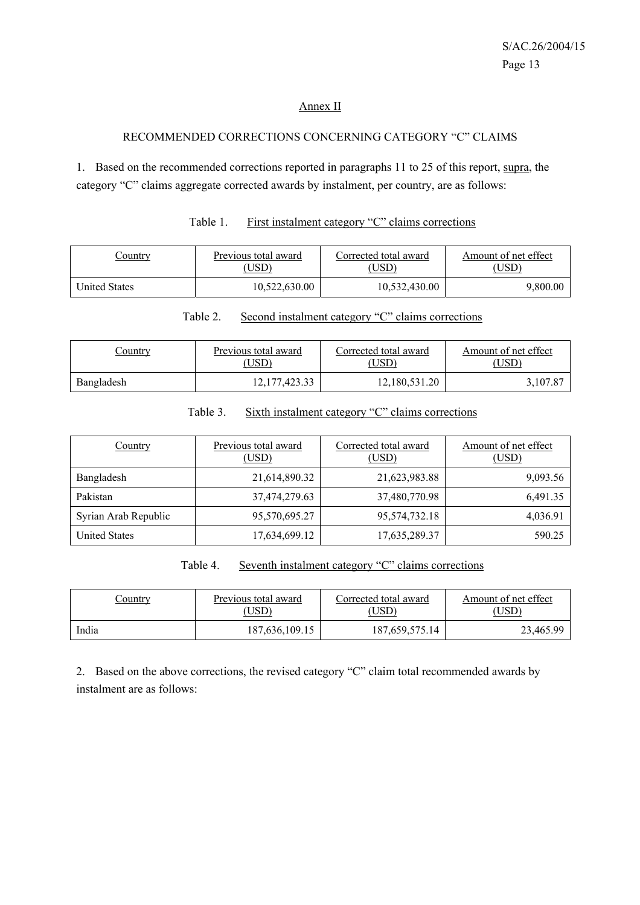#### Annex II

#### RECOMMENDED CORRECTIONS CONCERNING CATEGORY "C" CLAIMS

1. Based on the recommended corrections reported in paragraphs 11 to 25 of this report, supra, the category "C" claims aggregate corrected awards by instalment, per country, are as follows:

| <u>Country</u> | Previous total award | Corrected total award | Amount of net effect |
|----------------|----------------------|-----------------------|----------------------|
|                | USD)                 | 'USD                  | USD <sup>®</sup>     |
| United States  | 10.522.630.00        | 10,532,430.00         | 9,800.00             |

# Table 1. First instalment category "C" claims corrections

#### Table 2. Second instalment category "C" claims corrections

| Country    | Previous total award | Corrected total award | Amount of net effect |
|------------|----------------------|-----------------------|----------------------|
|            | USD)                 | USD)                  | USD).                |
| Bangladesh | 12, 177, 423.33      | 12,180,531.20         | 3,107.87             |

### Table 3. Sixth instalment category "C" claims corrections

| Country              | Previous total award<br>(USD) | Corrected total award<br>(USD) | Amount of net effect<br>(USD) |
|----------------------|-------------------------------|--------------------------------|-------------------------------|
| Bangladesh           | 21,614,890.32                 | 21,623,983.88                  | 9,093.56                      |
| Pakistan             | 37,474,279.63                 | 37,480,770.98                  | 6,491.35                      |
| Syrian Arab Republic | 95,570,695.27                 | 95,574,732.18                  | 4,036.91                      |
| <b>United States</b> | 17,634,699.12                 | 17,635,289.37                  | 590.25                        |

# Table 4. Seventh instalment category "C" claims corrections

| <u>Country</u> | Previous total award | Corrected total award | Amount of net effect |
|----------------|----------------------|-----------------------|----------------------|
|                | USD <sup>)</sup>     | USD)                  | USD                  |
| India          | 187,636,109.15       | 187,659,575.14        | 23,465.99            |

2. Based on the above corrections, the revised category "C" claim total recommended awards by instalment are as follows: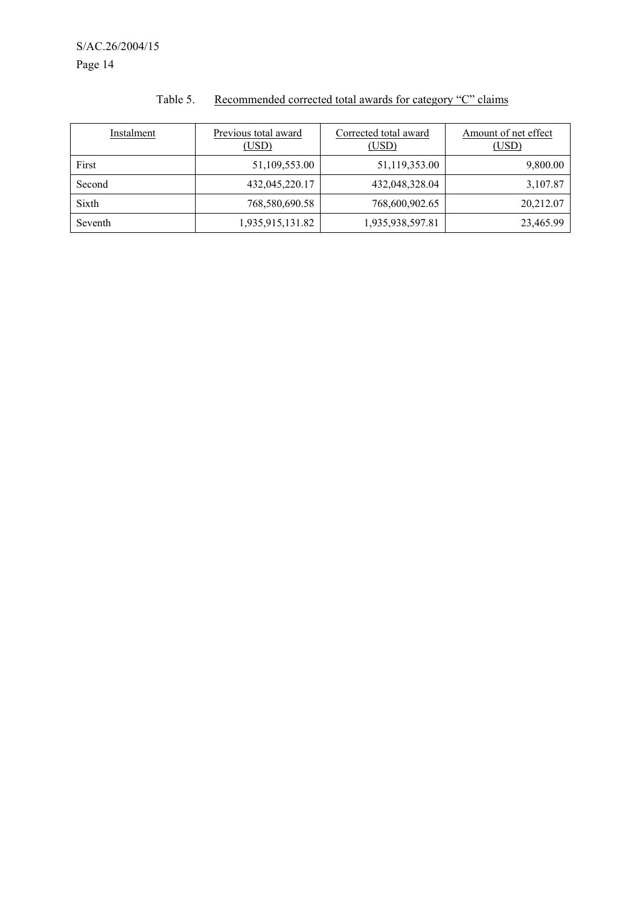| Instalment | Previous total award<br>(USD) | Corrected total award<br>(USD) | Amount of net effect<br>(USD) |
|------------|-------------------------------|--------------------------------|-------------------------------|
| First      | 51,109,553.00                 | 51,119,353.00                  | 9,800.00                      |
| Second     | 432,045,220.17                | 432,048,328.04                 | 3,107.87                      |
| Sixth      | 768,580,690.58                | 768,600,902.65                 | 20,212.07                     |
| Seventh    | 1,935,915,131.82              | 1,935,938,597.81               | 23,465.99                     |

# Table 5. Recommended corrected total awards for category "C" claims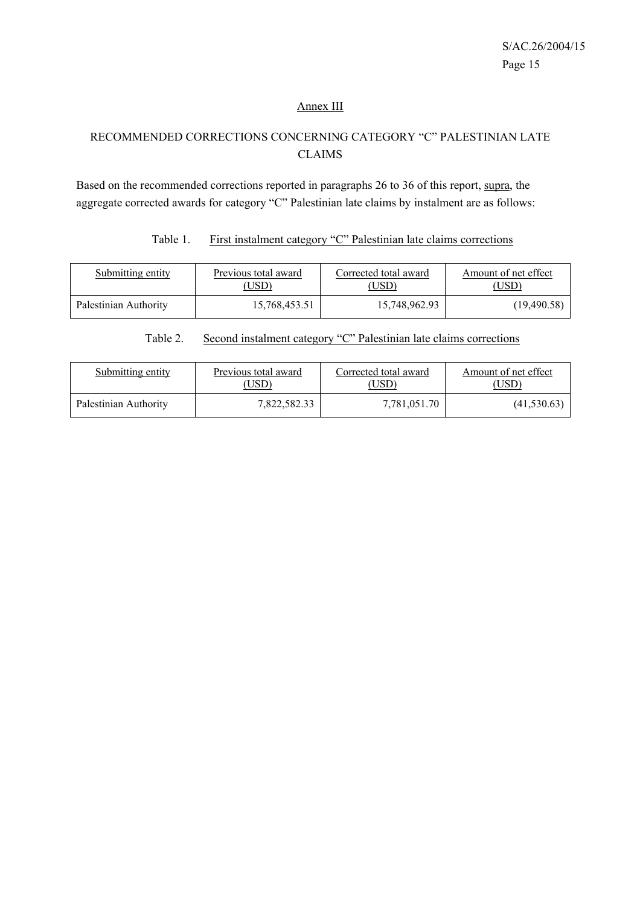#### Annex III

# RECOMMENDED CORRECTIONS CONCERNING CATEGORY "C" PALESTINIAN LATE CLAIMS

Based on the recommended corrections reported in paragraphs 26 to 36 of this report, supra, the aggregate corrected awards for category "C" Palestinian late claims by instalment are as follows:

# Table 1. First instalment category "C" Palestinian late claims corrections

| Submitting entity     | Previous total award | Corrected total award | Amount of net effect |
|-----------------------|----------------------|-----------------------|----------------------|
|                       | USD).                | USD)                  | (USD)                |
| Palestinian Authority | 15,768,453.51        | 15,748,962.93         | (19, 490.58)         |

### Table 2. Second instalment category "C" Palestinian late claims corrections

| Submitting entity     | Previous total award | Corrected total award | Amount of net effect |
|-----------------------|----------------------|-----------------------|----------------------|
|                       | USD)                 | USD)                  | ,USD)                |
| Palestinian Authority | 7,822,582.33         | 7,781,051.70          | (41, 530.63)         |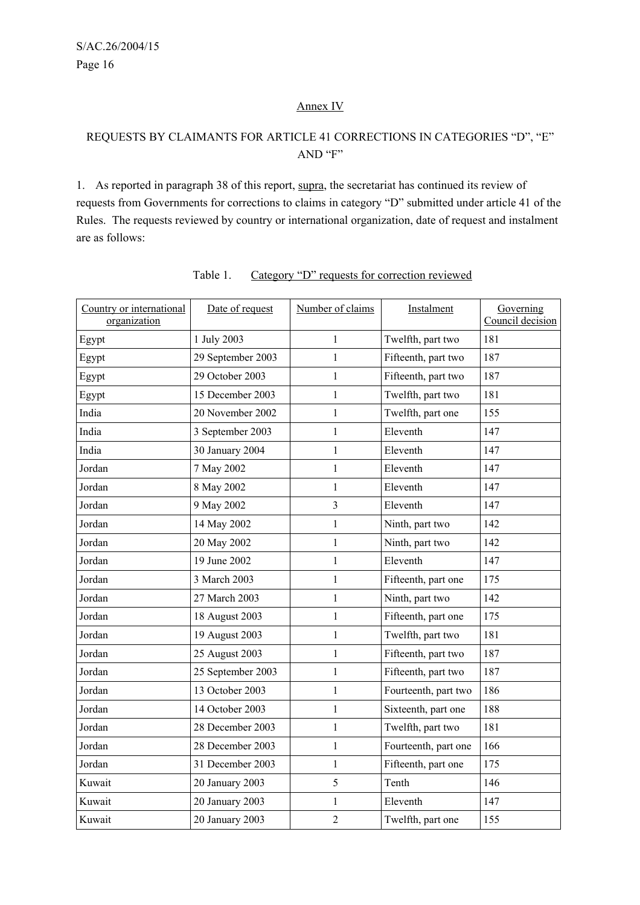#### Annex IV

# REQUESTS BY CLAIMANTS FOR ARTICLE 41 CORRECTIONS IN CATEGORIES "D", "E" AND "F"

1. As reported in paragraph 38 of this report, supra, the secretariat has continued its review of requests from Governments for corrections to claims in category "D" submitted under article 41 of the Rules. The requests reviewed by country or international organization, date of request and instalment are as follows:

| Country or international<br>organization | Date of request   | Number of claims | Instalment           | Governing<br>Council decision |
|------------------------------------------|-------------------|------------------|----------------------|-------------------------------|
| Egypt                                    | 1 July 2003       | $\mathbf{1}$     | Twelfth, part two    | 181                           |
| Egypt                                    | 29 September 2003 | $\mathbf{1}$     | Fifteenth, part two  | 187                           |
| Egypt                                    | 29 October 2003   | $\mathbf{1}$     | Fifteenth, part two  | 187                           |
| Egypt                                    | 15 December 2003  | 1                | Twelfth, part two    | 181                           |
| India                                    | 20 November 2002  | 1                | Twelfth, part one    | 155                           |
| India                                    | 3 September 2003  | 1                | Eleventh             | 147                           |
| India                                    | 30 January 2004   | 1                | Eleventh             | 147                           |
| Jordan                                   | 7 May 2002        | $\mathbf{1}$     | Eleventh             | 147                           |
| Jordan                                   | 8 May 2002        | $\mathbf{1}$     | Eleventh             | 147                           |
| Jordan                                   | 9 May 2002        | 3                | Eleventh             | 147                           |
| Jordan                                   | 14 May 2002       | 1                | Ninth, part two      | 142                           |
| Jordan                                   | 20 May 2002       | $\mathbf{1}$     | Ninth, part two      | 142                           |
| Jordan                                   | 19 June 2002      | 1                | Eleventh             | 147                           |
| Jordan                                   | 3 March 2003      | $\mathbf{1}$     | Fifteenth, part one  | 175                           |
| Jordan                                   | 27 March 2003     | 1                | Ninth, part two      | 142                           |
| Jordan                                   | 18 August 2003    | $\mathbf{1}$     | Fifteenth, part one  | 175                           |
| Jordan                                   | 19 August 2003    | $\mathbf{1}$     | Twelfth, part two    | 181                           |
| Jordan                                   | 25 August 2003    | $\mathbf{1}$     | Fifteenth, part two  | 187                           |
| Jordan                                   | 25 September 2003 | $\mathbf{1}$     | Fifteenth, part two  | 187                           |
| Jordan                                   | 13 October 2003   | $\mathbf{1}$     | Fourteenth, part two | 186                           |
| Jordan                                   | 14 October 2003   | $\mathbf{1}$     | Sixteenth, part one  | 188                           |
| Jordan                                   | 28 December 2003  | $\mathbf{1}$     | Twelfth, part two    | 181                           |
| Jordan                                   | 28 December 2003  | $\mathbf{1}$     | Fourteenth, part one | 166                           |
| Jordan                                   | 31 December 2003  | 1                | Fifteenth, part one  | 175                           |
| Kuwait                                   | 20 January 2003   | 5                | Tenth                | 146                           |
| Kuwait                                   | 20 January 2003   | $\mathbf{1}$     | Eleventh             | 147                           |
| Kuwait                                   | 20 January 2003   | $\overline{2}$   | Twelfth, part one    | 155                           |

# Table 1. Category "D" requests for correction reviewed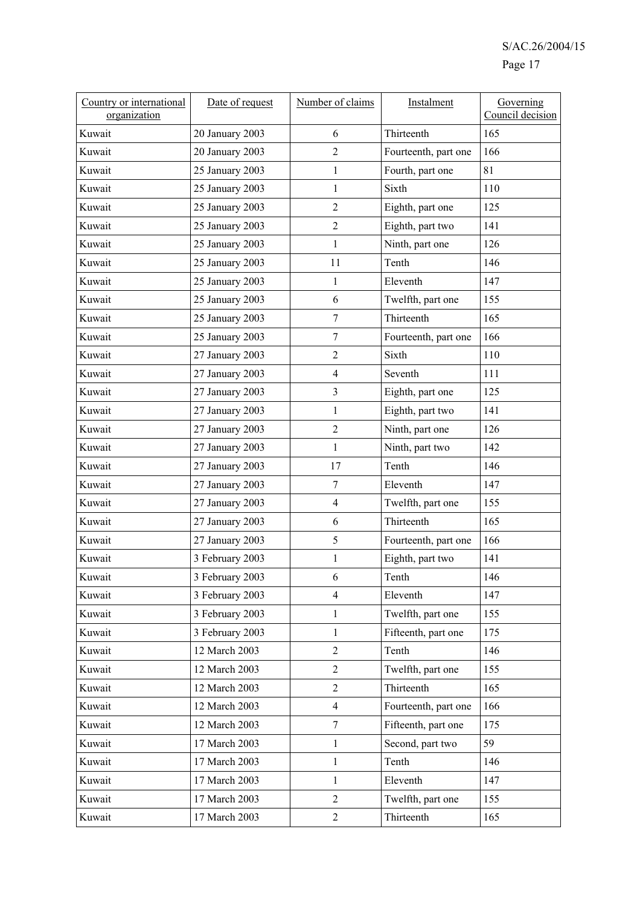| Country or international<br>organization | Date of request | Number of claims         | Instalment                      | Governing<br>Council decision |
|------------------------------------------|-----------------|--------------------------|---------------------------------|-------------------------------|
| Kuwait                                   | 20 January 2003 | 6                        | Thirteenth                      | 165                           |
| Kuwait                                   | 20 January 2003 | $\overline{2}$           | Fourteenth, part one            | 166                           |
| Kuwait                                   | 25 January 2003 | $\mathbf{1}$             | Fourth, part one                | 81                            |
| Kuwait                                   | 25 January 2003 | 1                        | Sixth                           | 110                           |
| Kuwait                                   | 25 January 2003 | $\overline{2}$           | Eighth, part one                | 125                           |
| Kuwait                                   | 25 January 2003 | $\overline{2}$           | Eighth, part two                | 141                           |
| Kuwait                                   | 25 January 2003 | $\mathbf{1}$             | Ninth, part one                 | 126                           |
| Kuwait                                   | 25 January 2003 | 11                       | Tenth                           | 146                           |
| Kuwait                                   | 25 January 2003 | $\mathbf{1}$             | Eleventh                        | 147                           |
| Kuwait                                   | 25 January 2003 | 6                        | Twelfth, part one               | 155                           |
| Kuwait                                   | 25 January 2003 | $\overline{7}$           | Thirteenth                      | 165                           |
| Kuwait                                   | 25 January 2003 | $\overline{7}$           | Fourteenth, part one            | 166                           |
| Kuwait                                   | 27 January 2003 | $\overline{2}$           | Sixth                           | 110                           |
| Kuwait                                   | 27 January 2003 | $\overline{4}$           | Seventh                         | 111                           |
| Kuwait                                   | 27 January 2003 | 3                        | Eighth, part one                | 125                           |
| Kuwait                                   | 27 January 2003 | $\mathbf{1}$             | Eighth, part two                | 141                           |
| Kuwait                                   | 27 January 2003 | $\mathbf{2}$             | Ninth, part one                 | 126                           |
| Kuwait                                   | 27 January 2003 | $\mathbf{1}$             | Ninth, part two                 | 142                           |
| Kuwait                                   | 27 January 2003 | 17                       | Tenth                           | 146                           |
| Kuwait                                   | 27 January 2003 | $\overline{7}$           | Eleventh                        | 147                           |
| Kuwait                                   | 27 January 2003 | $\overline{\mathcal{A}}$ | Twelfth, part one               | 155                           |
| Kuwait                                   | 27 January 2003 | 6                        | Thirteenth                      | 165                           |
| Kuwait                                   | 27 January 2003 | 5                        | Fourteenth, part one            | 166                           |
| Kuwait                                   | 3 February 2003 | $\mathbf{1}$             | Eighth, part two                | 141                           |
| Kuwait                                   | 3 February 2003 | 6                        | $\operatorname{\mathsf{Tenth}}$ | 146                           |
| Kuwait                                   | 3 February 2003 | $\overline{4}$           | Eleventh                        | 147                           |
| Kuwait                                   | 3 February 2003 | $\mathbf{1}$             | Twelfth, part one               | 155                           |
| Kuwait                                   | 3 February 2003 | $\mathbf{1}$             | Fifteenth, part one             | 175                           |
| Kuwait                                   | 12 March 2003   | $\overline{2}$           | Tenth                           | 146                           |
| Kuwait                                   | 12 March 2003   | $\overline{2}$           | Twelfth, part one               | 155                           |
| Kuwait                                   | 12 March 2003   | $\overline{2}$           | Thirteenth                      | 165                           |
| Kuwait                                   | 12 March 2003   | $\overline{4}$           | Fourteenth, part one            | 166                           |
| Kuwait                                   | 12 March 2003   | $\tau$                   | Fifteenth, part one             | 175                           |
| Kuwait                                   | 17 March 2003   | $\mathbf{1}$             | Second, part two                | 59                            |
| Kuwait                                   | 17 March 2003   | $\mathbf{1}$             | Tenth                           | 146                           |
| Kuwait                                   | 17 March 2003   | 1                        | Eleventh                        | 147                           |
| Kuwait                                   | 17 March 2003   | $\overline{2}$           | Twelfth, part one               | 155                           |
| Kuwait                                   | 17 March 2003   | $\overline{2}$           | Thirteenth                      | 165                           |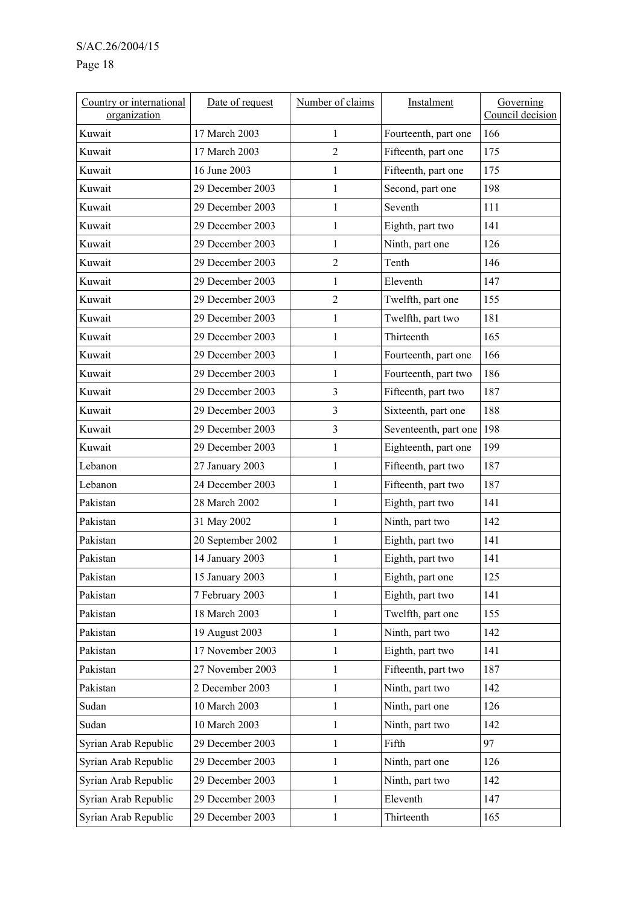# Page 18

| Country or international<br>organization | Date of request   | Number of claims | Instalment            | Governing<br>Council decision |
|------------------------------------------|-------------------|------------------|-----------------------|-------------------------------|
| Kuwait                                   | 17 March 2003     | 1                | Fourteenth, part one  | 166                           |
| Kuwait                                   | 17 March 2003     | $\overline{c}$   | Fifteenth, part one   | 175                           |
| Kuwait                                   | 16 June 2003      | $\mathbf{1}$     | Fifteenth, part one   | 175                           |
| Kuwait                                   | 29 December 2003  | $\mathbf{1}$     | Second, part one      | 198                           |
| Kuwait                                   | 29 December 2003  | $\mathbf{1}$     | Seventh               | 111                           |
| Kuwait                                   | 29 December 2003  | $\mathbf{1}$     | Eighth, part two      | 141                           |
| Kuwait                                   | 29 December 2003  | $\mathbf{1}$     | Ninth, part one       | 126                           |
| Kuwait                                   | 29 December 2003  | $\overline{2}$   | Tenth                 | 146                           |
| Kuwait                                   | 29 December 2003  | $\mathbf{1}$     | Eleventh              | 147                           |
| Kuwait                                   | 29 December 2003  | $\overline{2}$   | Twelfth, part one     | 155                           |
| Kuwait                                   | 29 December 2003  | $\mathbf{1}$     | Twelfth, part two     | 181                           |
| Kuwait                                   | 29 December 2003  | $\mathbf{1}$     | Thirteenth            | 165                           |
| Kuwait                                   | 29 December 2003  | $\mathbf{1}$     | Fourteenth, part one  | 166                           |
| Kuwait                                   | 29 December 2003  | $\mathbf{1}$     | Fourteenth, part two  | 186                           |
| Kuwait                                   | 29 December 2003  | 3                | Fifteenth, part two   | 187                           |
| Kuwait                                   | 29 December 2003  | 3                | Sixteenth, part one   | 188                           |
| Kuwait                                   | 29 December 2003  | 3                | Seventeenth, part one | 198                           |
| Kuwait                                   | 29 December 2003  | $\mathbf{1}$     | Eighteenth, part one  | 199                           |
| Lebanon                                  | 27 January 2003   | $\mathbf{1}$     | Fifteenth, part two   | 187                           |
| Lebanon                                  | 24 December 2003  | $\mathbf{1}$     | Fifteenth, part two   | 187                           |
| Pakistan                                 | 28 March 2002     | $\mathbf{1}$     | Eighth, part two      | 141                           |
| Pakistan                                 | 31 May 2002       | 1                | Ninth, part two       | 142                           |
| Pakistan                                 | 20 September 2002 | $\mathbf{1}$     | Eighth, part two      | 141                           |
| Pakistan                                 | 14 January 2003   | $\mathbf{1}$     | Eighth, part two      | 141                           |
| Pakistan                                 | 15 January 2003   | 1                | Eighth, part one      | 125                           |
| Pakistan                                 | 7 February 2003   | $\mathbf{1}$     | Eighth, part two      | 141                           |
| Pakistan                                 | 18 March 2003     | $\mathbf{1}$     | Twelfth, part one     | 155                           |
| Pakistan                                 | 19 August 2003    | $\mathbf{1}$     | Ninth, part two       | 142                           |
| Pakistan                                 | 17 November 2003  | $\mathbf{1}$     | Eighth, part two      | 141                           |
| Pakistan                                 | 27 November 2003  | $\,1$            | Fifteenth, part two   | 187                           |
| Pakistan                                 | 2 December 2003   | $\mathbf{1}$     | Ninth, part two       | 142                           |
| Sudan                                    | 10 March 2003     | $\mathbf{1}$     | Ninth, part one       | 126                           |
| Sudan                                    | 10 March 2003     | $\mathbf{1}$     | Ninth, part two       | 142                           |
| Syrian Arab Republic                     | 29 December 2003  | $\mathbf{1}$     | Fifth                 | 97                            |
| Syrian Arab Republic                     | 29 December 2003  | $\mathbf{1}$     | Ninth, part one       | 126                           |
| Syrian Arab Republic                     | 29 December 2003  | $\,1$            | Ninth, part two       | 142                           |
| Syrian Arab Republic                     | 29 December 2003  | $\mathbf{1}$     | Eleventh              | 147                           |
| Syrian Arab Republic                     | 29 December 2003  | $\mathbf{1}$     | Thirteenth            | 165                           |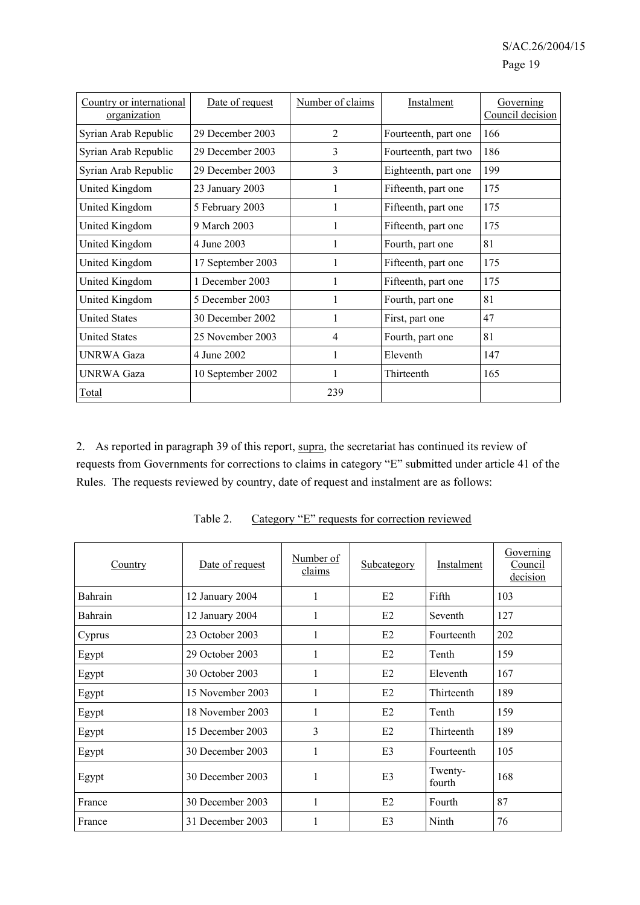| Country or international<br>organization | Date of request   | Number of claims | Instalment           | Governing<br>Council decision |
|------------------------------------------|-------------------|------------------|----------------------|-------------------------------|
| Syrian Arab Republic                     | 29 December 2003  | $\overline{2}$   | Fourteenth, part one | 166                           |
| Syrian Arab Republic                     | 29 December 2003  | 3                | Fourteenth, part two | 186                           |
| Syrian Arab Republic                     | 29 December 2003  | 3                | Eighteenth, part one | 199                           |
| United Kingdom                           | 23 January 2003   |                  | Fifteenth, part one  | 175                           |
| United Kingdom                           | 5 February 2003   |                  | Fifteenth, part one  | 175                           |
| United Kingdom                           | 9 March 2003      | 1                | Fifteenth, part one  | 175                           |
| United Kingdom                           | 4 June 2003       | 1                | Fourth, part one     | 81                            |
| United Kingdom                           | 17 September 2003 |                  | Fifteenth, part one  | 175                           |
| United Kingdom                           | 1 December 2003   |                  | Fifteenth, part one  | 175                           |
| United Kingdom                           | 5 December 2003   |                  | Fourth, part one     | 81                            |
| <b>United States</b>                     | 30 December 2002  | 1                | First, part one      | 47                            |
| <b>United States</b>                     | 25 November 2003  | $\overline{4}$   | Fourth, part one     | 81                            |
| <b>UNRWA Gaza</b>                        | 4 June 2002       |                  | Eleventh             | 147                           |
| UNRWA Gaza                               | 10 September 2002 | 1                | Thirteenth           | 165                           |
| Total                                    |                   | 239              |                      |                               |

2. As reported in paragraph 39 of this report, supra, the secretariat has continued its review of requests from Governments for corrections to claims in category "E" submitted under article 41 of the Rules. The requests reviewed by country, date of request and instalment are as follows:

| Country | Date of request  | Number of<br>claims | Subcategory    | Instalment        | Governing<br>Council<br>decision |
|---------|------------------|---------------------|----------------|-------------------|----------------------------------|
| Bahrain | 12 January 2004  | 1                   | E2             | Fifth             | 103                              |
| Bahrain | 12 January 2004  |                     | E2             | Seventh           | 127                              |
| Cyprus  | 23 October 2003  | 1                   | E2             | Fourteenth        | 202                              |
| Egypt   | 29 October 2003  |                     | E2             | Tenth             | 159                              |
| Egypt   | 30 October 2003  | 1                   | E2             | Eleventh          | 167                              |
| Egypt   | 15 November 2003 |                     | E2             | Thirteenth        | 189                              |
| Egypt   | 18 November 2003 | 1                   | E2             | Tenth             | 159                              |
| Egypt   | 15 December 2003 | 3                   | E2             | Thirteenth        | 189                              |
| Egypt   | 30 December 2003 | 1                   | E <sub>3</sub> | Fourteenth        | 105                              |
| Egypt   | 30 December 2003 | 1                   | E <sub>3</sub> | Twenty-<br>fourth | 168                              |
| France  | 30 December 2003 |                     | E2             | Fourth            | 87                               |
| France  | 31 December 2003 |                     | E3             | Ninth             | 76                               |

Table 2. Category "E" requests for correction reviewed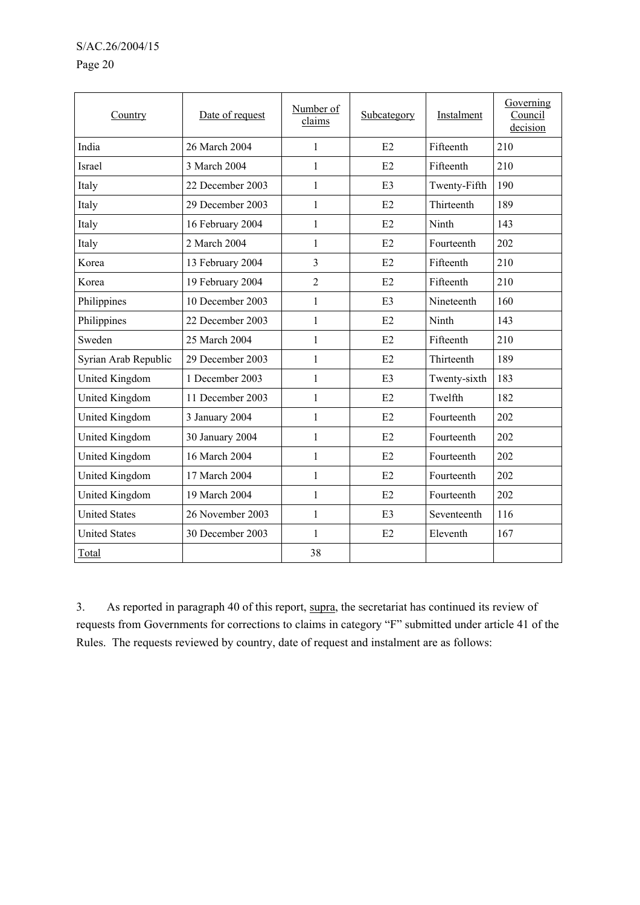#### Page 20

| Country               | Date of request  | Number of<br>claims | Subcategory    | Instalment   | Governing<br>Council<br>decision |
|-----------------------|------------------|---------------------|----------------|--------------|----------------------------------|
| India                 | 26 March 2004    | $\mathbf{1}$        | E2             | Fifteenth    | 210                              |
| Israel                | 3 March 2004     | 1                   | E2             | Fifteenth    | 210                              |
| Italy                 | 22 December 2003 | 1                   | E <sub>3</sub> | Twenty-Fifth | 190                              |
| Italy                 | 29 December 2003 | 1                   | E2             | Thirteenth   | 189                              |
| Italy                 | 16 February 2004 | $\mathbf{1}$        | E2             | Ninth        | 143                              |
| Italy                 | 2 March 2004     | 1                   | E2             | Fourteenth   | 202                              |
| Korea                 | 13 February 2004 | 3                   | E2             | Fifteenth    | 210                              |
| Korea                 | 19 February 2004 | $\overline{2}$      | E2             | Fifteenth    | 210                              |
| Philippines           | 10 December 2003 | $\mathbf{1}$        | E <sub>3</sub> | Nineteenth   | 160                              |
| Philippines           | 22 December 2003 | 1                   | E2             | Ninth        | 143                              |
| Sweden                | 25 March 2004    | 1                   | E2             | Fifteenth    | 210                              |
| Syrian Arab Republic  | 29 December 2003 | $\mathbf{1}$        | E2             | Thirteenth   | 189                              |
| United Kingdom        | 1 December 2003  | 1                   | E3             | Twenty-sixth | 183                              |
| United Kingdom        | 11 December 2003 | $\mathbf{1}$        | E2             | Twelfth      | 182                              |
| United Kingdom        | 3 January 2004   | 1                   | E2             | Fourteenth   | 202                              |
| United Kingdom        | 30 January 2004  | 1                   | E2             | Fourteenth   | 202                              |
| <b>United Kingdom</b> | 16 March 2004    | $\mathbf{1}$        | E2             | Fourteenth   | 202                              |
| <b>United Kingdom</b> | 17 March 2004    | 1                   | E2             | Fourteenth   | 202                              |
| <b>United Kingdom</b> | 19 March 2004    | $\mathbf{1}$        | E2             | Fourteenth   | 202                              |
| <b>United States</b>  | 26 November 2003 | $\mathbf{1}$        | E <sub>3</sub> | Seventeenth  | 116                              |
| <b>United States</b>  | 30 December 2003 | $\mathbf{1}$        | E2             | Eleventh     | 167                              |
| Total                 |                  | 38                  |                |              |                                  |

3. As reported in paragraph 40 of this report, supra, the secretariat has continued its review of requests from Governments for corrections to claims in category "F" submitted under article 41 of the Rules. The requests reviewed by country, date of request and instalment are as follows: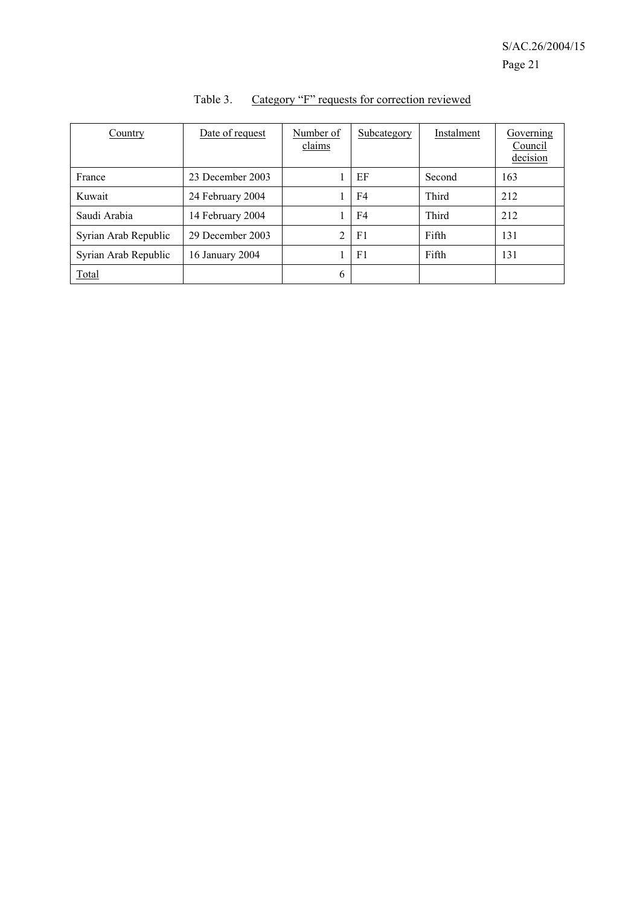| Country              | Date of request  | Number of<br>claims | Subcategory    | Instalment | Governing<br>Council<br>decision |
|----------------------|------------------|---------------------|----------------|------------|----------------------------------|
| France               | 23 December 2003 |                     | EF             | Second     | 163                              |
| Kuwait               | 24 February 2004 |                     | F4             | Third      | 212                              |
| Saudi Arabia         | 14 February 2004 |                     | F4             | Third      | 212                              |
| Syrian Arab Republic | 29 December 2003 | $\mathfrak{D}$      | F <sub>1</sub> | Fifth      | 131                              |
| Syrian Arab Republic | 16 January 2004  |                     | F1             | Fifth      | 131                              |
| <b>Total</b>         |                  | 6                   |                |            |                                  |

| Table 3. |  |  | Category "F" requests for correction reviewed |  |
|----------|--|--|-----------------------------------------------|--|
|          |  |  |                                               |  |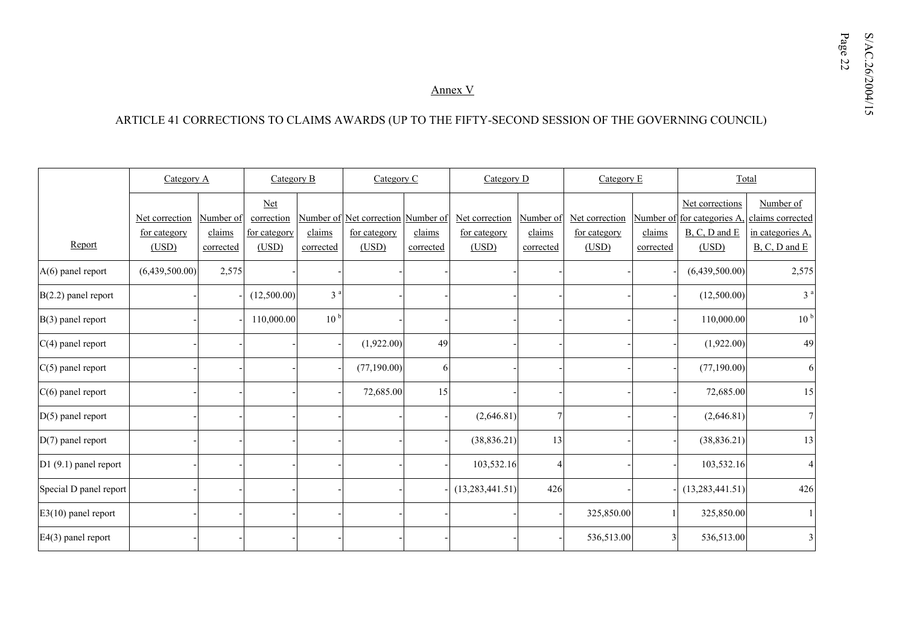# SX<br>Annex V<br>ARTICLE 41 CORRECTIONS TO CLAIMS AWARDS (UP TO THE FIFTY-SECOND SESSION OF THE GOVERNING COUNCIL)

|                        | Category A     |           | Category B   |                 | Category C                         |           | Category D          | Category E |                |           | Total             |                   |
|------------------------|----------------|-----------|--------------|-----------------|------------------------------------|-----------|---------------------|------------|----------------|-----------|-------------------|-------------------|
|                        |                |           | $Net$        |                 |                                    |           |                     |            |                |           | Net corrections   | Number of         |
|                        | Net correction | Number of | correction   |                 | Number of Net correction Number of |           | Net correction      | Number of  | Net correction | Number of | for categories A. | claims corrected  |
|                        | for category   | claims    | for category | claims          | for category                       | claims    | <u>for category</u> | claims     | for category   | claims    | B, C, D and E     | in categories A,  |
| Report                 | (USD)          | corrected | (USD)        | corrected       | (USD)                              | corrected | (USD)               | corrected  | (USD)          | corrected | (USD)             | $B, C, D$ and $E$ |
| $A(6)$ panel report    | (6,439,500.00) | 2,575     |              |                 |                                    |           |                     |            |                |           | (6,439,500.00)    | 2,575             |
| $B(2.2)$ panel report  |                |           | (12,500.00)  | 3 <sup>a</sup>  |                                    |           |                     |            |                |           | (12,500.00)       | 3 <sup>a</sup>    |
| $B(3)$ panel report    |                |           | 110,000.00   | 10 <sup>b</sup> |                                    |           |                     |            |                |           | 110,000.00        | 10 <sup>b</sup>   |
| $C(4)$ panel report    |                |           |              |                 | (1,922.00)                         | 49        |                     |            |                |           | (1,922.00)        | 49                |
| $C(5)$ panel report    |                |           |              |                 | (77, 190.00)                       | 6         |                     |            |                |           | (77, 190.00)      | 61                |
| $C(6)$ panel report    |                |           |              |                 | 72,685.00                          | 15        |                     |            |                |           | 72,685.00         | 15                |
| $D(5)$ panel report    |                |           |              |                 |                                    |           | (2,646.81)          | 7          |                |           | (2,646.81)        |                   |
| $D(7)$ panel report    |                |           |              |                 |                                    |           | (38, 836.21)        | 13         |                |           | (38, 836.21)      | 13                |
| D1 (9.1) panel report  |                |           |              |                 |                                    |           | 103,532.16          | 4          |                |           | 103,532.16        |                   |
| Special D panel report |                |           |              |                 |                                    |           | (13, 283, 441.51)   | 426        |                |           | (13, 283, 441.51) | 426               |
| $E3(10)$ panel report  |                |           |              |                 |                                    |           |                     |            | 325,850.00     |           | 325,850.00        |                   |
| $E4(3)$ panel report   |                |           |              |                 |                                    |           |                     |            | 536,513.00     | 3         | 536,513.00        |                   |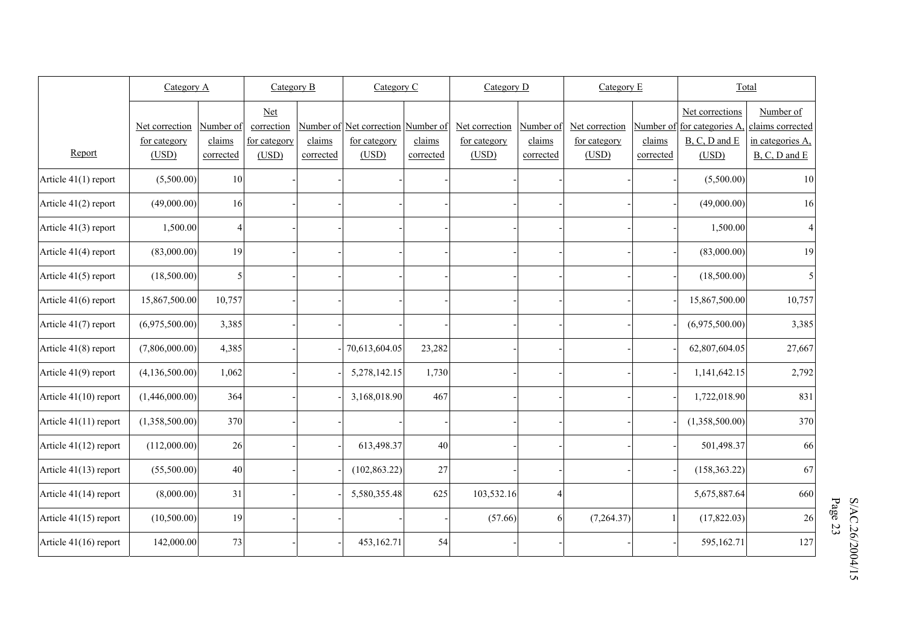|                         | Category A     |                | Category B   |           | Category C                         |           | Category D     |           | Category $E$   |           | Total                       |                   |
|-------------------------|----------------|----------------|--------------|-----------|------------------------------------|-----------|----------------|-----------|----------------|-----------|-----------------------------|-------------------|
|                         |                |                | <b>Net</b>   |           |                                    |           |                |           |                |           | Net corrections             | Number of         |
|                         | Net correction | Number of      | correction   |           | Number of Net correction Number of |           | Net correction | Number of | Net correction |           | Number of for categories A, | claims corrected  |
|                         | for category   | claims         | for category | claims    | for category                       | claims    | for category   | claims    | for category   | claims    | $B, C, D$ and $E$           | in categories A,  |
| Report                  | (USD)          | corrected      | (USD)        | corrected | (USD)                              | corrected | (USD)          | corrected | (USD)          | corrected | (USD)                       | $B, C, D$ and $E$ |
| Article 41(1) report    | (5,500.00)     | 10             |              |           |                                    |           |                |           |                |           | (5,500.00)                  | 10                |
| Article 41(2) report    | (49,000.00)    | 16             |              |           |                                    |           |                |           |                |           | (49,000.00)                 | 16                |
| Article 41(3) report    | 1,500.00       | $\overline{4}$ |              |           |                                    |           |                |           |                |           | 1,500.00                    | $\overline{4}$    |
| Article 41(4) report    | (83,000.00)    | 19             |              |           |                                    |           |                |           |                |           | (83,000.00)                 | 19                |
| Article 41(5) report    | (18,500.00)    | 5              |              |           |                                    |           |                |           |                |           | (18,500.00)                 | 5                 |
| Article 41(6) report    | 15,867,500.00  | 10,757         |              |           |                                    |           |                |           |                |           | 15,867,500.00               | 10,757            |
| Article 41(7) report    | (6,975,500.00) | 3,385          |              |           |                                    |           |                |           |                |           | (6,975,500.00)              | 3,385             |
| Article 41(8) report    | (7,806,000.00) | 4,385          |              |           | 70,613,604.05                      | 23,282    |                |           |                |           | 62,807,604.05               | 27,667            |
| Article 41(9) report    | (4,136,500.00) | 1,062          |              |           | 5,278,142.15                       | 1,730     |                |           |                |           | 1,141,642.15                | 2,792             |
| Article 41(10) report   | (1,446,000.00) | 364            |              |           | 3,168,018.90                       | 467       |                |           |                |           | 1,722,018.90                | 831               |
| Article 41(11) report   | (1,358,500.00) | 370            |              |           |                                    |           |                |           |                |           | (1,358,500.00)              | 370               |
| Article 41(12) report   | (112,000.00)   | 26             |              |           | 613,498.37                         | 40        |                |           |                |           | 501,498.37                  | 66                |
| Article $41(13)$ report | (55,500.00)    | 40             |              |           | (102, 863.22)                      | 27        |                |           |                |           | (158, 363.22)               | 67                |
| Article 41(14) report   | (8,000.00)     | 31             |              |           | 5,580,355.48                       | 625       | 103,532.16     | 4         |                |           | 5,675,887.64                | 660               |
| Article 41(15) report   | (10,500.00)    | 19             |              |           |                                    |           | (57.66)        | 6         | (7,264.37)     |           | (17,822.03)                 | 26                |
| Article 41(16) report   | 142,000.00     | 73             |              |           | 453,162.71                         | 54        |                |           |                |           | 595,162.71                  | 127               |